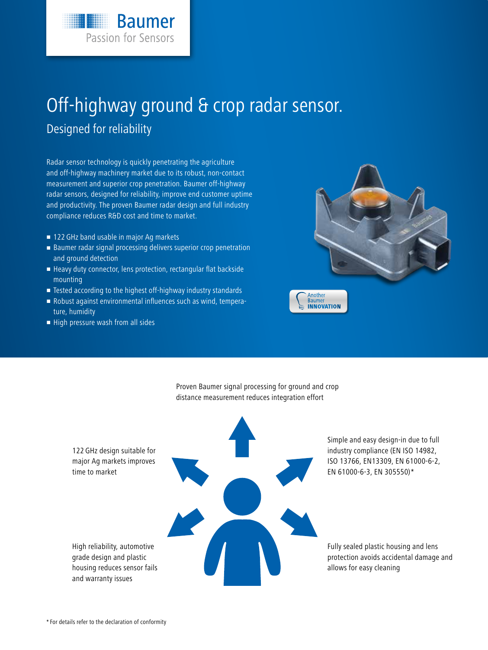# Off-highway ground & crop radar sensor.

### Designed for reliability

Radar sensor technology is quickly penetrating the agriculture and off-highway machinery market due to its robust, non-contact measurement and superior crop penetration. Baumer off-highway radar sensors, designed for reliability, improve end customer uptime and productivity. The proven Baumer radar design and full industry compliance reduces R&D cost and time to market.

**Baumer** 

**Passion for Sensors** 

- 122 GHz band usable in major Ag markets
- Baumer radar signal processing delivers superior crop penetration and ground detection
- Heavy duty connector, lens protection, rectangular flat backside mounting
- Tested according to the highest off-highway industry standards
- Robust against environmental influences such as wind, temperature, humidity
- High pressure wash from all sides



Proven Baumer signal processing for ground and crop distance measurement reduces integration effort

122 GHz design suitable for major Ag markets improves time to market

High reliability, automotive grade design and plastic housing reduces sensor fails and warranty issues

Simple and easy design-in due to full industry compliance (EN ISO 14982, ISO 13766, EN13309, EN 61000-6-2, EN 61000-6-3, EN 305550)\*

Fully sealed plastic housing and lens protection avoids accidental damage and allows for easy cleaning